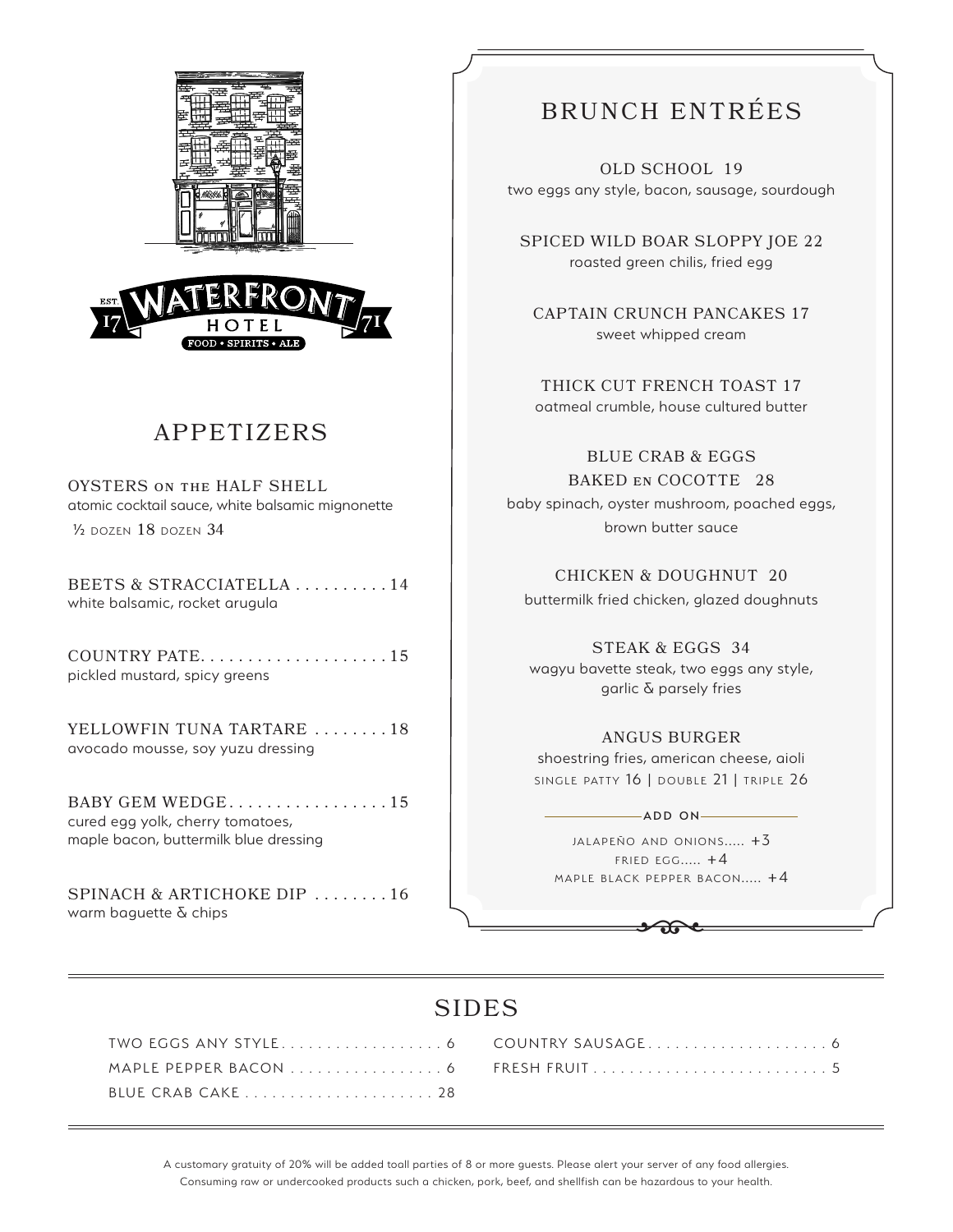



# APPETIZERS

OYSTERS on the HALF SHELL atomic cocktail sauce, white balsamic mignonette ½ dozen 18 dozen 34

BEETS & STRACCIATELLA . . . . . . . . . 14 white balsamic, rocket arugula

COUNTRY PATE . . . . . . . . . . . . . . . . . . . 15 pickled mustard, spicy greens

YELLOWFIN TUNA TARTARE ....... 18 avocado mousse, soy yuzu dressing

BABY GEM WEDGE $\dots \dots \dots \dots \dots \dots \dots 15$ cured egg yolk, cherry tomatoes, maple bacon, buttermilk blue dressing

SPINACH & ARTICHOKE DIP .......16 warm baguette & chips

# BRUNCH ENTRÉES

OLD SCHOOL 19 two eggs any style, bacon, sausage, sourdough

SPICED WILD BOAR SLOPPY JOE 22 roasted green chilis, fried egg

CAPTAIN CRUNCH PANCAKES 17 sweet whipped cream

THICK CUT FRENCH TOAST 17 oatmeal crumble, house cultured butter

BLUE CRAB & EGGS BAKED en COCOTTE 28 baby spinach, oyster mushroom, poached eggs, brown butter sauce

CHICKEN & DOUGHNUT 20 buttermilk fried chicken, glazed doughnuts

STEAK & EGGS 34 wagyu bavette steak, two eggs any style, garlic & parsely fries

#### ANGUS BURGER

shoestring fries, american cheese, aioli SINGLE PATTY 16 | DOUBLE 21 | TRIPLE 26

 $-$ ADD ON $-$ 

 $JALAPEÑO AND ONIONS.... +3$  $F$  RIED  $EG$ <sub>...</sub>...  $+4$ MAPLE BLACK PEPPER BACON.....  $+4$ 

 $\bigoplus$ 

## SIDES

A customary gratuity of 20% will be added toall parties of 8 or more guests. Please alert your server of any food allergies. Consuming raw or undercooked products such a chicken, pork, beef, and shellfish can be hazardous to your health.